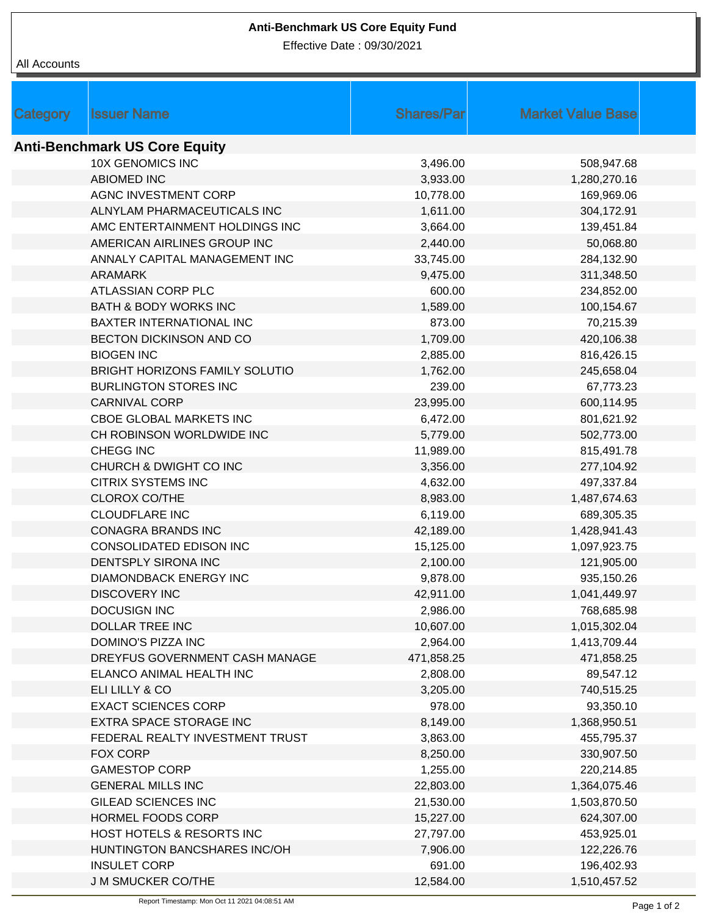## **Anti-Benchmark US Core Equity Fund**

Effective Date : 09/30/2021

## All Accounts

| <b>Category</b>                      | <b>Issuer Name</b>                    | <b>Shares/Parl</b> | <b>Market Value Base</b> |  |  |  |  |
|--------------------------------------|---------------------------------------|--------------------|--------------------------|--|--|--|--|
| <b>Anti-Benchmark US Core Equity</b> |                                       |                    |                          |  |  |  |  |
|                                      | <b>10X GENOMICS INC</b>               | 3,496.00           | 508,947.68               |  |  |  |  |
|                                      | <b>ABIOMED INC</b>                    | 3,933.00           | 1,280,270.16             |  |  |  |  |
|                                      | AGNC INVESTMENT CORP                  | 10,778.00          | 169,969.06               |  |  |  |  |
|                                      | ALNYLAM PHARMACEUTICALS INC           | 1,611.00           | 304,172.91               |  |  |  |  |
|                                      | AMC ENTERTAINMENT HOLDINGS INC        | 3,664.00           | 139,451.84               |  |  |  |  |
|                                      | AMERICAN AIRLINES GROUP INC           | 2,440.00           | 50,068.80                |  |  |  |  |
|                                      | ANNALY CAPITAL MANAGEMENT INC         | 33,745.00          | 284,132.90               |  |  |  |  |
|                                      | <b>ARAMARK</b>                        | 9,475.00           | 311,348.50               |  |  |  |  |
|                                      | ATLASSIAN CORP PLC                    | 600.00             | 234,852.00               |  |  |  |  |
|                                      | <b>BATH &amp; BODY WORKS INC</b>      | 1,589.00           | 100,154.67               |  |  |  |  |
|                                      | BAXTER INTERNATIONAL INC              | 873.00             | 70,215.39                |  |  |  |  |
|                                      | BECTON DICKINSON AND CO               | 1,709.00           | 420,106.38               |  |  |  |  |
|                                      | <b>BIOGEN INC</b>                     | 2,885.00           | 816,426.15               |  |  |  |  |
|                                      | <b>BRIGHT HORIZONS FAMILY SOLUTIO</b> | 1,762.00           | 245,658.04               |  |  |  |  |
|                                      | <b>BURLINGTON STORES INC</b>          | 239.00             | 67,773.23                |  |  |  |  |
|                                      | <b>CARNIVAL CORP</b>                  | 23,995.00          | 600,114.95               |  |  |  |  |
|                                      | <b>CBOE GLOBAL MARKETS INC</b>        | 6,472.00           | 801,621.92               |  |  |  |  |
|                                      | CH ROBINSON WORLDWIDE INC             | 5,779.00           | 502,773.00               |  |  |  |  |
|                                      | CHEGG INC                             | 11,989.00          | 815,491.78               |  |  |  |  |
|                                      | CHURCH & DWIGHT CO INC                | 3,356.00           | 277,104.92               |  |  |  |  |
|                                      | <b>CITRIX SYSTEMS INC</b>             | 4,632.00           | 497,337.84               |  |  |  |  |
|                                      | <b>CLOROX CO/THE</b>                  | 8,983.00           | 1,487,674.63             |  |  |  |  |
|                                      | <b>CLOUDFLARE INC</b>                 | 6,119.00           | 689,305.35               |  |  |  |  |
|                                      | <b>CONAGRA BRANDS INC</b>             | 42,189.00          | 1,428,941.43             |  |  |  |  |
|                                      | CONSOLIDATED EDISON INC               | 15,125.00          | 1,097,923.75             |  |  |  |  |
|                                      | DENTSPLY SIRONA INC                   | 2,100.00           | 121,905.00               |  |  |  |  |
|                                      | <b>DIAMONDBACK ENERGY INC</b>         | 9,878.00           | 935,150.26               |  |  |  |  |
|                                      | <b>DISCOVERY INC</b>                  | 42,911.00          | 1,041,449.97             |  |  |  |  |
|                                      | DOCUSIGN INC                          | 2,986.00           | 768,685.98               |  |  |  |  |
|                                      | DOLLAR TREE INC                       | 10,607.00          | 1,015,302.04             |  |  |  |  |
|                                      | DOMINO'S PIZZA INC                    | 2,964.00           | 1,413,709.44             |  |  |  |  |
|                                      | DREYFUS GOVERNMENT CASH MANAGE        | 471,858.25         | 471,858.25               |  |  |  |  |
|                                      | ELANCO ANIMAL HEALTH INC              | 2,808.00           | 89,547.12                |  |  |  |  |
|                                      | ELI LILLY & CO                        | 3,205.00           | 740,515.25               |  |  |  |  |
|                                      | <b>EXACT SCIENCES CORP</b>            | 978.00             | 93,350.10                |  |  |  |  |
|                                      | EXTRA SPACE STORAGE INC               | 8,149.00           | 1,368,950.51             |  |  |  |  |
|                                      | FEDERAL REALTY INVESTMENT TRUST       | 3,863.00           | 455,795.37               |  |  |  |  |
|                                      | <b>FOX CORP</b>                       | 8,250.00           | 330,907.50               |  |  |  |  |
|                                      | <b>GAMESTOP CORP</b>                  | 1,255.00           | 220,214.85               |  |  |  |  |
|                                      | <b>GENERAL MILLS INC</b>              | 22,803.00          | 1,364,075.46             |  |  |  |  |
|                                      | <b>GILEAD SCIENCES INC</b>            | 21,530.00          | 1,503,870.50             |  |  |  |  |
|                                      | HORMEL FOODS CORP                     | 15,227.00          | 624,307.00               |  |  |  |  |
|                                      | HOST HOTELS & RESORTS INC             | 27,797.00          | 453,925.01               |  |  |  |  |
|                                      | HUNTINGTON BANCSHARES INC/OH          | 7,906.00           | 122,226.76               |  |  |  |  |
|                                      | <b>INSULET CORP</b>                   | 691.00             | 196,402.93               |  |  |  |  |
|                                      | <b>J M SMUCKER CO/THE</b>             | 12,584.00          | 1,510,457.52             |  |  |  |  |
|                                      |                                       |                    |                          |  |  |  |  |